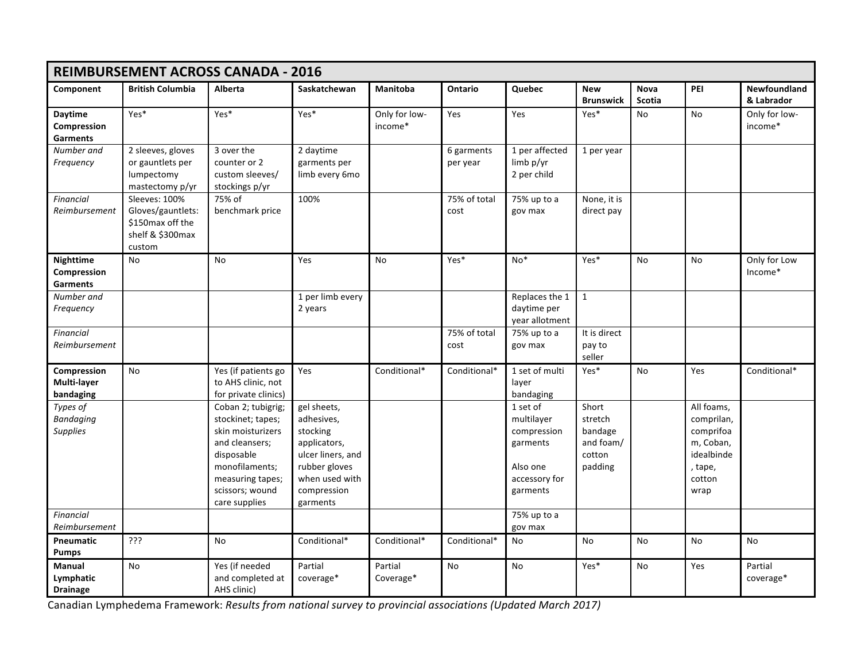| <b>REIMBURSEMENT ACROSS CANADA - 2016</b>          |                                                                                      |                                                                                                                                                                        |                                                                                                                                          |                          |                                    |                                                                                            |                                                               |                              |                                                                                               |                            |
|----------------------------------------------------|--------------------------------------------------------------------------------------|------------------------------------------------------------------------------------------------------------------------------------------------------------------------|------------------------------------------------------------------------------------------------------------------------------------------|--------------------------|------------------------------------|--------------------------------------------------------------------------------------------|---------------------------------------------------------------|------------------------------|-----------------------------------------------------------------------------------------------|----------------------------|
| Component                                          | <b>British Columbia</b>                                                              | <b>Alberta</b>                                                                                                                                                         | Saskatchewan                                                                                                                             | Manitoba                 | Ontario                            | <b>Quebec</b>                                                                              | <b>New</b><br><b>Brunswick</b>                                | <b>Nova</b><br><b>Scotia</b> | PEI                                                                                           | Newfoundland<br>& Labrador |
| Daytime<br>Compression<br><b>Garments</b>          | Yes*                                                                                 | Yes*                                                                                                                                                                   | Yes*                                                                                                                                     | Only for low-<br>income* | Yes                                | Yes                                                                                        | Yes*                                                          | <b>No</b>                    | <b>No</b>                                                                                     | Only for low-<br>income*   |
| Number and<br>Frequency                            | 2 sleeves, gloves<br>or gauntlets per<br>lumpectomy<br>mastectomy p/yr               | 3 over the<br>counter or 2<br>custom sleeves/<br>stockings p/yr                                                                                                        | 2 daytime<br>garments per<br>limb every 6mo                                                                                              |                          | 6 garments<br>per year             | 1 per affected<br>limb p/yr<br>2 per child                                                 | 1 per year                                                    |                              |                                                                                               |                            |
| <b>Financial</b><br>Reimbursement                  | Sleeves: 100%<br>Gloves/gauntlets:<br>\$150max off the<br>shelf & \$300max<br>custom | 75% of<br>benchmark price                                                                                                                                              | 100%                                                                                                                                     |                          | 75% of total<br>cost               | 75% up to a<br>gov max                                                                     | None, it is<br>direct pay                                     |                              |                                                                                               |                            |
| <b>Nighttime</b><br>Compression<br><b>Garments</b> | <b>No</b>                                                                            | <b>No</b>                                                                                                                                                              | <b>Yes</b>                                                                                                                               | <b>No</b>                | Yes*                               | $No*$                                                                                      | Yes*                                                          | <b>No</b>                    | <b>No</b>                                                                                     | Only for Low<br>Income*    |
| Number and<br>Frequency                            |                                                                                      |                                                                                                                                                                        | 1 per limb every<br>2 years                                                                                                              |                          |                                    | Replaces the 1<br>daytime per<br>vear allotment                                            | $\mathbf{1}$                                                  |                              |                                                                                               |                            |
| <b>Financial</b><br>Reimbursement                  |                                                                                      |                                                                                                                                                                        |                                                                                                                                          |                          | $\overline{75\%}$ of total<br>cost | 75% up to a<br>gov max                                                                     | It is direct<br>pay to<br>seller                              |                              |                                                                                               |                            |
| Compression<br>Multi-layer<br>bandaging            | <b>No</b>                                                                            | Yes (if patients go<br>to AHS clinic, not<br>for private clinics)                                                                                                      | Yes                                                                                                                                      | Conditional*             | Conditional*                       | 1 set of multi<br>layer<br>bandaging                                                       | Yes*                                                          | <b>No</b>                    | Yes                                                                                           | Conditional*               |
| Types of<br><b>Bandaging</b><br><b>Supplies</b>    |                                                                                      | Coban 2; tubigrig;<br>stockinet; tapes;<br>skin moisturizers<br>and cleansers;<br>disposable<br>monofilaments;<br>measuring tapes;<br>scissors; wound<br>care supplies | gel sheets,<br>adhesives,<br>stocking<br>applicators,<br>ulcer liners, and<br>rubber gloves<br>when used with<br>compression<br>garments |                          |                                    | 1 set of<br>multilayer<br>compression<br>garments<br>Also one<br>accessory for<br>garments | Short<br>stretch<br>bandage<br>and foam/<br>cotton<br>padding |                              | All foams,<br>comprilan,<br>comprifoa<br>m, Coban,<br>idealbinde<br>, tape,<br>cotton<br>wrap |                            |
| <b>Financial</b><br>Reimbursement                  |                                                                                      |                                                                                                                                                                        |                                                                                                                                          |                          |                                    | 75% up to a<br>gov max                                                                     |                                                               |                              |                                                                                               |                            |
| Pneumatic<br><b>Pumps</b>                          | ?ַיְ                                                                                 | No                                                                                                                                                                     | Conditional*                                                                                                                             | Conditional*             | Conditional*                       | No                                                                                         | No                                                            | No                           | No                                                                                            | No                         |
| Manual<br>Lymphatic<br><b>Drainage</b>             | No                                                                                   | Yes (if needed<br>and completed at<br>AHS clinic)                                                                                                                      | Partial<br>coverage*                                                                                                                     | Partial<br>Coverage*     | No                                 | No                                                                                         | Yes*                                                          | No                           | Yes                                                                                           | Partial<br>coverage*       |

 Canadian Lymphedema Framework: *Results from national survey to provincial associations (Updated March 2017)*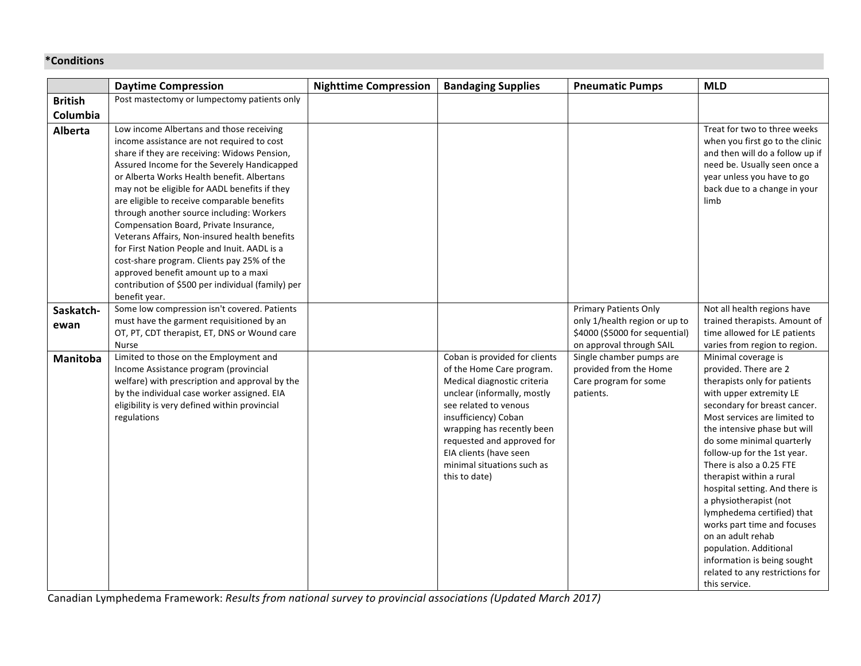## **\*Conditions**

|                | <b>Daytime Compression</b>                                                                                                                                                                                                                                                                                                                                                                                                                                                                                                                                                                                                                                                              | <b>Nighttime Compression</b> | <b>Bandaging Supplies</b>                                                                                                                                                                                                                                                                                      | <b>Pneumatic Pumps</b>                                                                      | <b>MLD</b>                                                                                                                                                                                                                                                                                                                                                                                                                                                                                                                                                                             |
|----------------|-----------------------------------------------------------------------------------------------------------------------------------------------------------------------------------------------------------------------------------------------------------------------------------------------------------------------------------------------------------------------------------------------------------------------------------------------------------------------------------------------------------------------------------------------------------------------------------------------------------------------------------------------------------------------------------------|------------------------------|----------------------------------------------------------------------------------------------------------------------------------------------------------------------------------------------------------------------------------------------------------------------------------------------------------------|---------------------------------------------------------------------------------------------|----------------------------------------------------------------------------------------------------------------------------------------------------------------------------------------------------------------------------------------------------------------------------------------------------------------------------------------------------------------------------------------------------------------------------------------------------------------------------------------------------------------------------------------------------------------------------------------|
| <b>British</b> | Post mastectomy or lumpectomy patients only                                                                                                                                                                                                                                                                                                                                                                                                                                                                                                                                                                                                                                             |                              |                                                                                                                                                                                                                                                                                                                |                                                                                             |                                                                                                                                                                                                                                                                                                                                                                                                                                                                                                                                                                                        |
| Columbia       |                                                                                                                                                                                                                                                                                                                                                                                                                                                                                                                                                                                                                                                                                         |                              |                                                                                                                                                                                                                                                                                                                |                                                                                             |                                                                                                                                                                                                                                                                                                                                                                                                                                                                                                                                                                                        |
| Alberta        | Low income Albertans and those receiving<br>income assistance are not required to cost<br>share if they are receiving: Widows Pension,<br>Assured Income for the Severely Handicapped<br>or Alberta Works Health benefit. Albertans<br>may not be eligible for AADL benefits if they<br>are eligible to receive comparable benefits<br>through another source including: Workers<br>Compensation Board, Private Insurance,<br>Veterans Affairs, Non-insured health benefits<br>for First Nation People and Inuit. AADL is a<br>cost-share program. Clients pay 25% of the<br>approved benefit amount up to a maxi<br>contribution of \$500 per individual (family) per<br>benefit year. |                              |                                                                                                                                                                                                                                                                                                                |                                                                                             | Treat for two to three weeks<br>when you first go to the clinic<br>and then will do a follow up if<br>need be. Usually seen once a<br>year unless you have to go<br>back due to a change in your<br>limb                                                                                                                                                                                                                                                                                                                                                                               |
| Saskatch-      | Some low compression isn't covered. Patients                                                                                                                                                                                                                                                                                                                                                                                                                                                                                                                                                                                                                                            |                              |                                                                                                                                                                                                                                                                                                                | <b>Primary Patients Only</b>                                                                | Not all health regions have                                                                                                                                                                                                                                                                                                                                                                                                                                                                                                                                                            |
| ewan           | must have the garment requisitioned by an<br>OT, PT, CDT therapist, ET, DNS or Wound care<br><b>Nurse</b>                                                                                                                                                                                                                                                                                                                                                                                                                                                                                                                                                                               |                              |                                                                                                                                                                                                                                                                                                                | only 1/health region or up to<br>\$4000 (\$5000 for sequential)<br>on approval through SAIL | trained therapists. Amount of<br>time allowed for LE patients<br>varies from region to region.                                                                                                                                                                                                                                                                                                                                                                                                                                                                                         |
| Manitoba       | Limited to those on the Employment and<br>Income Assistance program (provincial<br>welfare) with prescription and approval by the<br>by the individual case worker assigned. EIA<br>eligibility is very defined within provincial<br>regulations                                                                                                                                                                                                                                                                                                                                                                                                                                        |                              | Coban is provided for clients<br>of the Home Care program.<br>Medical diagnostic criteria<br>unclear (informally, mostly<br>see related to venous<br>insufficiency) Coban<br>wrapping has recently been<br>requested and approved for<br>EIA clients (have seen<br>minimal situations such as<br>this to date) | Single chamber pumps are<br>provided from the Home<br>Care program for some<br>patients.    | Minimal coverage is<br>provided. There are 2<br>therapists only for patients<br>with upper extremity LE<br>secondary for breast cancer.<br>Most services are limited to<br>the intensive phase but will<br>do some minimal quarterly<br>follow-up for the 1st year.<br>There is also a 0.25 FTE<br>therapist within a rural<br>hospital setting. And there is<br>a physiotherapist (not<br>lymphedema certified) that<br>works part time and focuses<br>on an adult rehab<br>population. Additional<br>information is being sought<br>related to any restrictions for<br>this service. |

 Canadian Lymphedema Framework: *Results from national survey to provincial associations (Updated March 2017)*